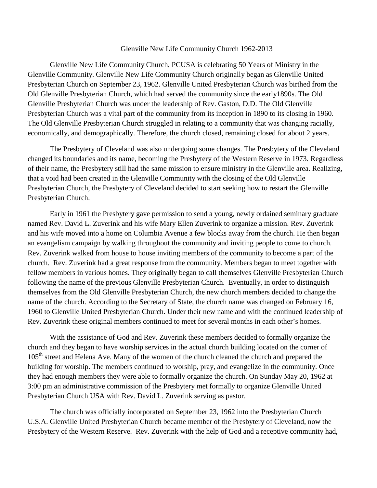## Glenville New Life Community Church 1962-2013

Glenville New Life Community Church, PCUSA is celebrating 50 Years of Ministry in the Glenville Community. Glenville New Life Community Church originally began as Glenville United Presbyterian Church on September 23, 1962. Glenville United Presbyterian Church was birthed from the Old Glenville Presbyterian Church, which had served the community since the early1890s. The Old Glenville Presbyterian Church was under the leadership of Rev. Gaston, D.D. The Old Glenville Presbyterian Church was a vital part of the community from its inception in 1890 to its closing in 1960. The Old Glenville Presbyterian Church struggled in relating to a community that was changing racially, economically, and demographically. Therefore, the church closed, remaining closed for about 2 years.

The Presbytery of Cleveland was also undergoing some changes. The Presbytery of the Cleveland changed its boundaries and its name, becoming the Presbytery of the Western Reserve in 1973. Regardless of their name, the Presbytery still had the same mission to ensure ministry in the Glenville area. Realizing, that a void had been created in the Glenville Community with the closing of the Old Glenville Presbyterian Church, the Presbytery of Cleveland decided to start seeking how to restart the Glenville Presbyterian Church.

Early in 1961 the Presbytery gave permission to send a young, newly ordained seminary graduate named Rev. David L. Zuverink and his wife Mary Ellen Zuverink to organize a mission. Rev. Zuverink and his wife moved into a home on Columbia Avenue a few blocks away from the church. He then began an evangelism campaign by walking throughout the community and inviting people to come to church. Rev. Zuverink walked from house to house inviting members of the community to become a part of the church. Rev. Zuverink had a great response from the community. Members began to meet together with fellow members in various homes. They originally began to call themselves Glenville Presbyterian Church following the name of the previous Glenville Presbyterian Church. Eventually, in order to distinguish themselves from the Old Glenville Presbyterian Church, the new church members decided to change the name of the church. According to the Secretary of State, the church name was changed on February 16, 1960 to Glenville United Presbyterian Church. Under their new name and with the continued leadership of Rev. Zuverink these original members continued to meet for several months in each other's homes.

With the assistance of God and Rev. Zuverink these members decided to formally organize the church and they began to have worship services in the actual church building located on the corner of 105<sup>th</sup> street and Helena Ave. Many of the women of the church cleaned the church and prepared the building for worship. The members continued to worship, pray, and evangelize in the community. Once they had enough members they were able to formally organize the church. On Sunday May 20, 1962 at 3:00 pm an administrative commission of the Presbytery met formally to organize Glenville United Presbyterian Church USA with Rev. David L. Zuverink serving as pastor.

The church was officially incorporated on September 23, 1962 into the Presbyterian Church U.S.A. Glenville United Presbyterian Church became member of the Presbytery of Cleveland, now the Presbytery of the Western Reserve. Rev. Zuverink with the help of God and a receptive community had,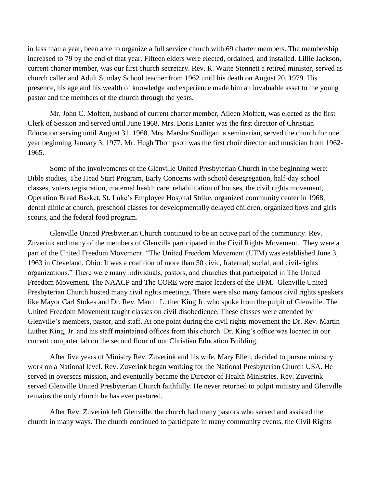in less than a year, been able to organize a full service church with 69 charter members. The membership increased to 79 by the end of that year. Fifteen elders were elected, ordained, and installed. Lillie Jackson, current charter member, was our first church secretary. Rev. R. Waite Stennett a retired minister, served as church caller and Adult Sunday School teacher from 1962 until his death on August 20, 1979. His presence, his age and his wealth of knowledge and experience made him an invaluable asset to the young pastor and the members of the church through the years.

Mr. John C. Moffett, husband of current charter member, Aileen Moffett, was elected as the first Clerk of Session and served until June 1968. Mrs. Doris Lanier was the first director of Christian Education serving until August 31, 1968. Mrs. Marsha Snulligan, a seminarian, served the church for one year beginning January 3, 1977. Mr. Hugh Thompson was the first choir director and musician from 1962- 1965.

Some of the involvements of the Glenville United Presbyterian Church in the beginning were: Bible studies, The Head Start Program, Early Concerns with school desegregation, half-day school classes, voters registration, maternal health care, rehabilitation of houses, the civil rights movement, Operation Bread Basket, St. Luke's Employee Hospital Strike, organized community center in 1968, dental clinic at church, preschool classes for developmentally delayed children, organized boys and girls scouts, and the federal food program.

Glenville United Presbyterian Church continued to be an active part of the community. Rev. Zuverink and many of the members of Glenville participated in the Civil Rights Movement. They were a part of the United Freedom Movement. "The United Freedom Movement (UFM) was established June 3, 1963 in Cleveland, Ohio. It was a coalition of more than 50 civic, fraternal, social, and civil-rights organizations." There were many individuals, pastors, and churches that participated in The United Freedom Movement. The NAACP and The CORE were major leaders of the UFM. Glenville United Presbyterian Church hosted many civil rights meetings. There were also many famous civil rights speakers like Mayor Carl Stokes and Dr. Rev. Martin Luther King Jr. who spoke from the pulpit of Glenville. The United Freedom Movement taught classes on civil disobedience. These classes were attended by Glenville's members, pastor, and staff. At one point during the civil rights movement the Dr. Rev. Martin Luther King, Jr. and his staff maintained offices from this church. Dr. King's office was located in our current computer lab on the second floor of our Christian Education Building.

After five years of Ministry Rev. Zuverink and his wife, Mary Ellen, decided to pursue ministry work on a National level. Rev. Zuverink began working for the National Presbyterian Church USA. He served in overseas mission, and eventually became the Director of Health Ministries. Rev. Zuverink served Glenville United Presbyterian Church faithfully. He never returned to pulpit ministry and Glenville remains the only church he has ever pastored.

After Rev. Zuverink left Glenville, the church had many pastors who served and assisted the church in many ways. The church continued to participate in many community events, the Civil Rights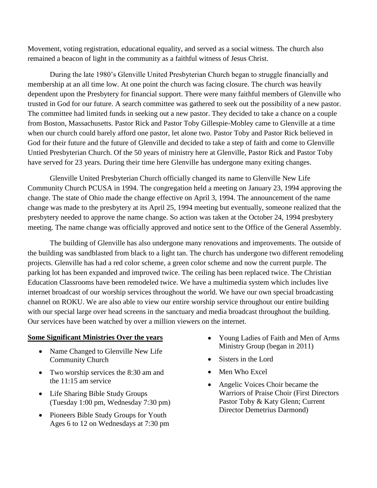Movement, voting registration, educational equality, and served as a social witness. The church also remained a beacon of light in the community as a faithful witness of Jesus Christ.

During the late 1980's Glenville United Presbyterian Church began to struggle financially and membership at an all time low. At one point the church was facing closure. The church was heavily dependent upon the Presbytery for financial support. There were many faithful members of Glenville who trusted in God for our future. A search committee was gathered to seek out the possibility of a new pastor. The committee had limited funds in seeking out a new pastor. They decided to take a chance on a couple from Boston, Massachusetts. Pastor Rick and Pastor Toby Gillespie-Mobley came to Glenville at a time when our church could barely afford one pastor, let alone two. Pastor Toby and Pastor Rick believed in God for their future and the future of Glenville and decided to take a step of faith and come to Glenville Untied Presbyterian Church. Of the 50 years of ministry here at Glenville, Pastor Rick and Pastor Toby have served for 23 years. During their time here Glenville has undergone many exiting changes.

Glenville United Presbyterian Church officially changed its name to Glenville New Life Community Church PCUSA in 1994. The congregation held a meeting on January 23, 1994 approving the change. The state of Ohio made the change effective on April 3, 1994. The announcement of the name change was made to the presbytery at its April 25, 1994 meeting but eventually, someone realized that the presbytery needed to approve the name change. So action was taken at the October 24, 1994 presbytery meeting. The name change was officially approved and notice sent to the Office of the General Assembly.

The building of Glenville has also undergone many renovations and improvements. The outside of the building was sandblasted from black to a light tan. The church has undergone two different remodeling projects. Glenville has had a red color scheme, a green color scheme and now the current purple. The parking lot has been expanded and improved twice. The ceiling has been replaced twice. The Christian Education Classrooms have been remodeled twice. We have a multimedia system which includes live internet broadcast of our worship services throughout the world. We have our own special broadcasting channel on ROKU. We are also able to view our entire worship service throughout our entire building with our special large over head screens in the sanctuary and media broadcast throughout the building. Our services have been watched by over a million viewers on the internet.

## **Some Significant Ministries Over the years**

- Name Changed to Glenville New Life Community Church
- Two worship services the 8:30 am and the 11:15 am service
- Life Sharing Bible Study Groups (Tuesday 1:00 pm, Wednesday 7:30 pm)
- Pioneers Bible Study Groups for Youth Ages 6 to 12 on Wednesdays at 7:30 pm
- Young Ladies of Faith and Men of Arms Ministry Group (began in 2011)
- Sisters in the Lord
- Men Who Excel
- Angelic Voices Choir became the Warriors of Praise Choir (First Directors Pastor Toby & Katy Glenn; Current Director Demetrius Darmond)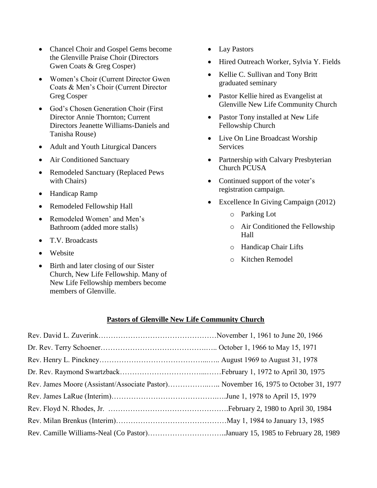- Chancel Choir and Gospel Gems become the Glenville Praise Choir (Directors Gwen Coats & Greg Cosper)
- Women's Choir (Current Director Gwen Coats & Men's Choir (Current Director Greg Cosper
- God's Chosen Generation Choir (First Director Annie Thornton; Current Directors Jeanette Williams-Daniels and Tanisha Rouse)
- Adult and Youth Liturgical Dancers
- Air Conditioned Sanctuary
- Remodeled Sanctuary (Replaced Pews with Chairs)
- Handicap Ramp
- Remodeled Fellowship Hall
- Remodeled Women' and Men's Bathroom (added more stalls)
- T.V. Broadcasts
- Website
- Birth and later closing of our Sister Church, New Life Fellowship. Many of New Life Fellowship members become members of Glenville.
- Lay Pastors
- Hired Outreach Worker, Sylvia Y. Fields
- Kellie C. Sullivan and Tony Britt graduated seminary
- Pastor Kellie hired as Evangelist at Glenville New Life Community Church
- Pastor Tony installed at New Life Fellowship Church
- Live On Line Broadcast Worship **Services**
- Partnership with Calvary Presbyterian Church PCUSA
- Continued support of the voter's registration campaign.
- Excellence In Giving Campaign (2012)
	- o Parking Lot
	- o Air Conditioned the Fellowship Hall
	- o Handicap Chair Lifts
	- o Kitchen Remodel

## **Pastors of Glenville New Life Community Church**

| Rev. James Moore (Assistant/Associate Pastor) November 16, 1975 to October 31, 1977 |  |
|-------------------------------------------------------------------------------------|--|
|                                                                                     |  |
|                                                                                     |  |
|                                                                                     |  |
| Rev. Camille Williams-Neal (Co Pastor)January 15, 1985 to February 28, 1989         |  |